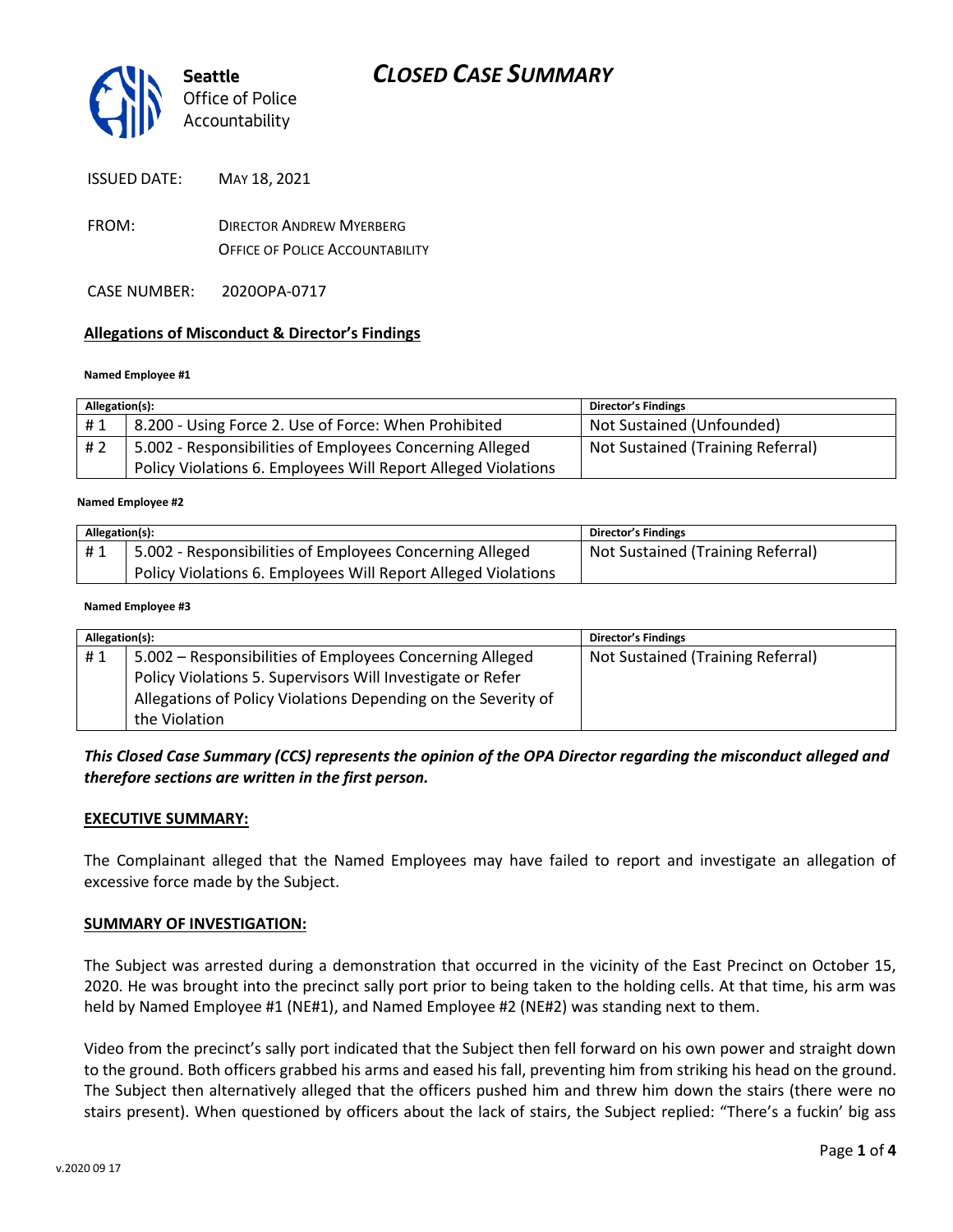

ISSUED DATE: MAY 18, 2021

- FROM: DIRECTOR ANDREW MYERBERG OFFICE OF POLICE ACCOUNTABILITY
- CASE NUMBER: 2020OPA-0717

#### **Allegations of Misconduct & Director's Findings**

#### **Named Employee #1**

| Allegation(s): |                                                               | <b>Director's Findings</b>        |
|----------------|---------------------------------------------------------------|-----------------------------------|
| #1             | 8.200 - Using Force 2. Use of Force: When Prohibited          | Not Sustained (Unfounded)         |
| #2             | 5.002 - Responsibilities of Employees Concerning Alleged      | Not Sustained (Training Referral) |
|                | Policy Violations 6. Employees Will Report Alleged Violations |                                   |

#### ؚ<br>ا **Named Employee #2**

| Allegation(s): |                                                               | <b>Director's Findings</b>        |
|----------------|---------------------------------------------------------------|-----------------------------------|
| #1             | 5.002 - Responsibilities of Employees Concerning Alleged      | Not Sustained (Training Referral) |
|                | Policy Violations 6. Employees Will Report Alleged Violations |                                   |

#### **Named Employee #3**

| Allegation(s): |                                                               | <b>Director's Findings</b>        |
|----------------|---------------------------------------------------------------|-----------------------------------|
| #1             | 5.002 – Responsibilities of Employees Concerning Alleged      | Not Sustained (Training Referral) |
|                | Policy Violations 5. Supervisors Will Investigate or Refer    |                                   |
|                | Allegations of Policy Violations Depending on the Severity of |                                   |
|                | the Violation                                                 |                                   |

#### *This Closed Case Summary (CCS) represents the opinion of the OPA Director regarding the misconduct alleged and therefore sections are written in the first person.*

#### **EXECUTIVE SUMMARY:**

The Complainant alleged that the Named Employees may have failed to report and investigate an allegation of excessive force made by the Subject.

#### **SUMMARY OF INVESTIGATION:**

The Subject was arrested during a demonstration that occurred in the vicinity of the East Precinct on October 15, 2020. He was brought into the precinct sally port prior to being taken to the holding cells. At that time, his arm was held by Named Employee #1 (NE#1), and Named Employee #2 (NE#2) was standing next to them.

Video from the precinct's sally port indicated that the Subject then fell forward on his own power and straight down to the ground. Both officers grabbed his arms and eased his fall, preventing him from striking his head on the ground. The Subject then alternatively alleged that the officers pushed him and threw him down the stairs (there were no stairs present). When questioned by officers about the lack of stairs, the Subject replied: "There's a fuckin' big ass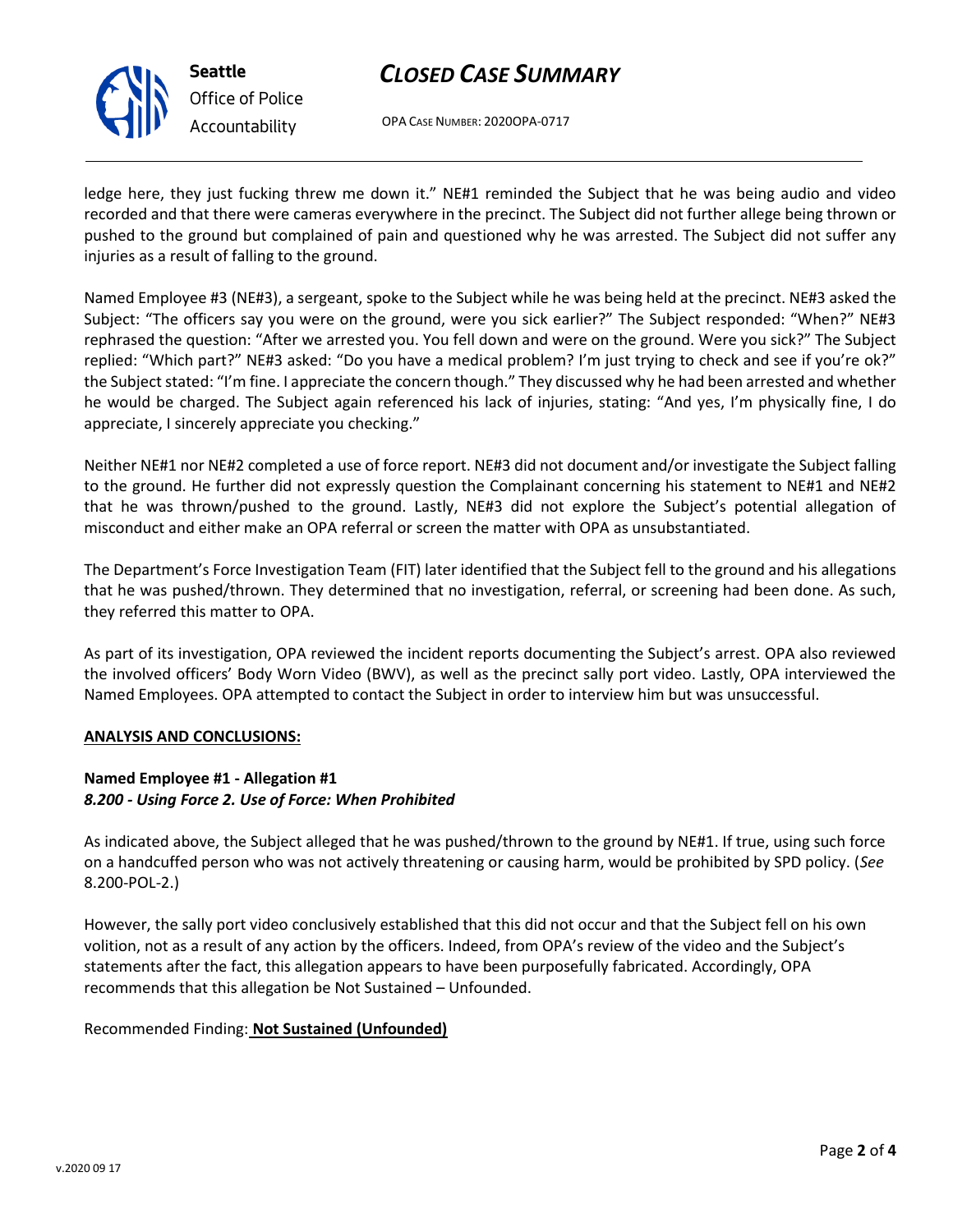

# *CLOSED CASE SUMMARY*

OPA CASE NUMBER: 2020OPA-0717

ledge here, they just fucking threw me down it." NE#1 reminded the Subject that he was being audio and video recorded and that there were cameras everywhere in the precinct. The Subject did not further allege being thrown or pushed to the ground but complained of pain and questioned why he was arrested. The Subject did not suffer any injuries as a result of falling to the ground.

Named Employee #3 (NE#3), a sergeant, spoke to the Subject while he was being held at the precinct. NE#3 asked the Subject: "The officers say you were on the ground, were you sick earlier?" The Subject responded: "When?" NE#3 rephrased the question: "After we arrested you. You fell down and were on the ground. Were you sick?" The Subject replied: "Which part?" NE#3 asked: "Do you have a medical problem? I'm just trying to check and see if you're ok?" the Subject stated: "I'm fine. I appreciate the concern though." They discussed why he had been arrested and whether he would be charged. The Subject again referenced his lack of injuries, stating: "And yes, I'm physically fine, I do appreciate, I sincerely appreciate you checking."

Neither NE#1 nor NE#2 completed a use of force report. NE#3 did not document and/or investigate the Subject falling to the ground. He further did not expressly question the Complainant concerning his statement to NE#1 and NE#2 that he was thrown/pushed to the ground. Lastly, NE#3 did not explore the Subject's potential allegation of misconduct and either make an OPA referral or screen the matter with OPA as unsubstantiated.

The Department's Force Investigation Team (FIT) later identified that the Subject fell to the ground and his allegations that he was pushed/thrown. They determined that no investigation, referral, or screening had been done. As such, they referred this matter to OPA.

As part of its investigation, OPA reviewed the incident reports documenting the Subject's arrest. OPA also reviewed the involved officers' Body Worn Video (BWV), as well as the precinct sally port video. Lastly, OPA interviewed the Named Employees. OPA attempted to contact the Subject in order to interview him but was unsuccessful.

#### **ANALYSIS AND CONCLUSIONS:**

## **Named Employee #1 - Allegation #1** *8.200 - Using Force 2. Use of Force: When Prohibited*

As indicated above, the Subject alleged that he was pushed/thrown to the ground by NE#1. If true, using such force on a handcuffed person who was not actively threatening or causing harm, would be prohibited by SPD policy. (*See* 8.200-POL-2.)

However, the sally port video conclusively established that this did not occur and that the Subject fell on his own volition, not as a result of any action by the officers. Indeed, from OPA's review of the video and the Subject's statements after the fact, this allegation appears to have been purposefully fabricated. Accordingly, OPA recommends that this allegation be Not Sustained – Unfounded.

## Recommended Finding: **Not Sustained (Unfounded)**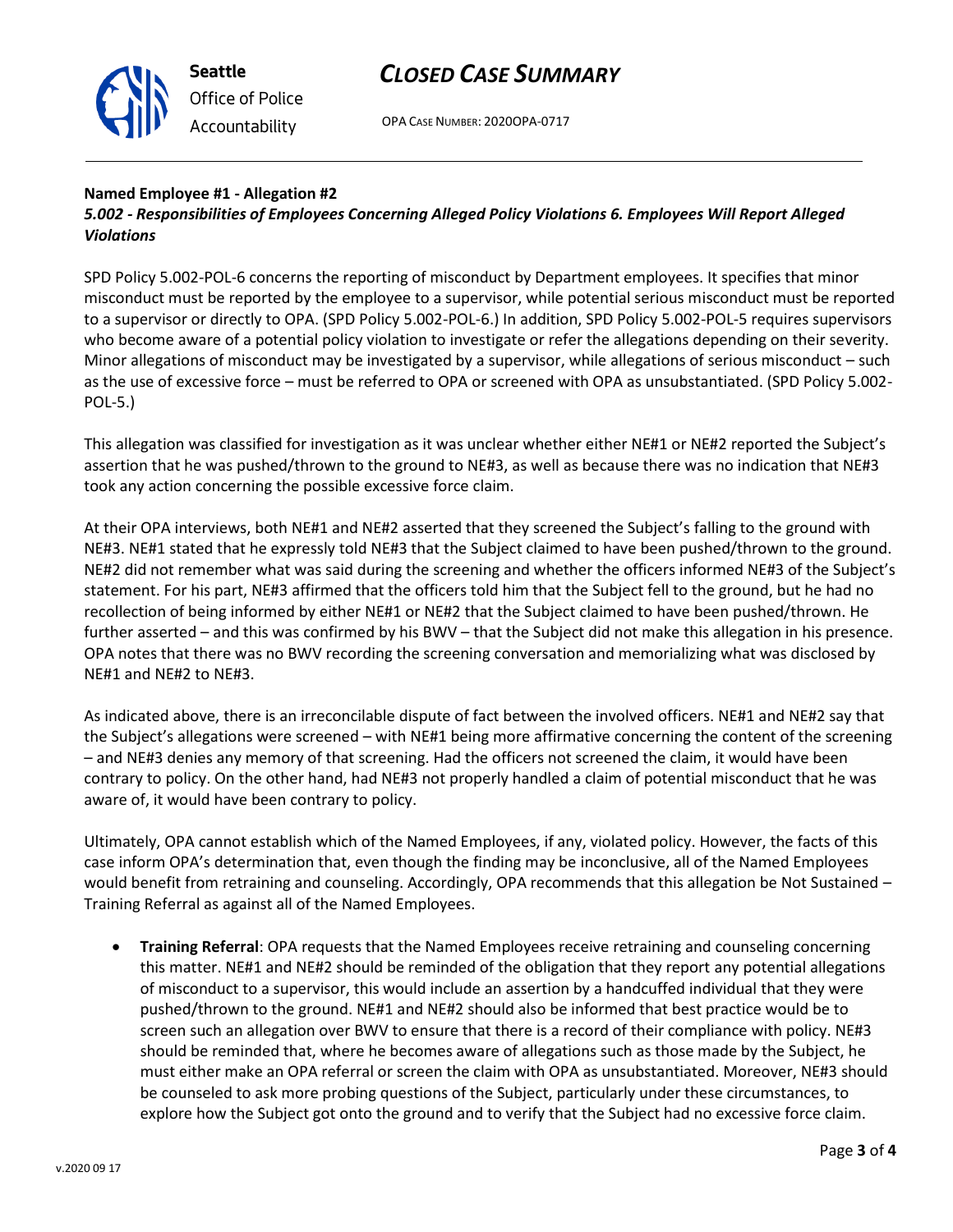

# *Office of Police Accountability*

# *CLOSED CASE SUMMARY*

OPA CASE NUMBER: 2020OPA-0717

#### **Named Employee #1 - Allegation #2**

## *5.002 - Responsibilities of Employees Concerning Alleged Policy Violations 6. Employees Will Report Alleged Violations*

SPD Policy 5.002-POL-6 concerns the reporting of misconduct by Department employees. It specifies that minor misconduct must be reported by the employee to a supervisor, while potential serious misconduct must be reported to a supervisor or directly to OPA. (SPD Policy 5.002-POL-6.) In addition, SPD Policy 5.002-POL-5 requires supervisors who become aware of a potential policy violation to investigate or refer the allegations depending on their severity. Minor allegations of misconduct may be investigated by a supervisor, while allegations of serious misconduct – such as the use of excessive force – must be referred to OPA or screened with OPA as unsubstantiated. (SPD Policy 5.002- POL-5.)

This allegation was classified for investigation as it was unclear whether either NE#1 or NE#2 reported the Subject's assertion that he was pushed/thrown to the ground to NE#3, as well as because there was no indication that NE#3 took any action concerning the possible excessive force claim.

At their OPA interviews, both NE#1 and NE#2 asserted that they screened the Subject's falling to the ground with NE#3. NE#1 stated that he expressly told NE#3 that the Subject claimed to have been pushed/thrown to the ground. NE#2 did not remember what was said during the screening and whether the officers informed NE#3 of the Subject's statement. For his part, NE#3 affirmed that the officers told him that the Subject fell to the ground, but he had no recollection of being informed by either NE#1 or NE#2 that the Subject claimed to have been pushed/thrown. He further asserted – and this was confirmed by his BWV – that the Subject did not make this allegation in his presence. OPA notes that there was no BWV recording the screening conversation and memorializing what was disclosed by NE#1 and NE#2 to NE#3.

As indicated above, there is an irreconcilable dispute of fact between the involved officers. NE#1 and NE#2 say that the Subject's allegations were screened – with NE#1 being more affirmative concerning the content of the screening – and NE#3 denies any memory of that screening. Had the officers not screened the claim, it would have been contrary to policy. On the other hand, had NE#3 not properly handled a claim of potential misconduct that he was aware of, it would have been contrary to policy.

Ultimately, OPA cannot establish which of the Named Employees, if any, violated policy. However, the facts of this case inform OPA's determination that, even though the finding may be inconclusive, all of the Named Employees would benefit from retraining and counseling. Accordingly, OPA recommends that this allegation be Not Sustained – Training Referral as against all of the Named Employees.

• **Training Referral**: OPA requests that the Named Employees receive retraining and counseling concerning this matter. NE#1 and NE#2 should be reminded of the obligation that they report any potential allegations of misconduct to a supervisor, this would include an assertion by a handcuffed individual that they were pushed/thrown to the ground. NE#1 and NE#2 should also be informed that best practice would be to screen such an allegation over BWV to ensure that there is a record of their compliance with policy. NE#3 should be reminded that, where he becomes aware of allegations such as those made by the Subject, he must either make an OPA referral or screen the claim with OPA as unsubstantiated. Moreover, NE#3 should be counseled to ask more probing questions of the Subject, particularly under these circumstances, to explore how the Subject got onto the ground and to verify that the Subject had no excessive force claim.